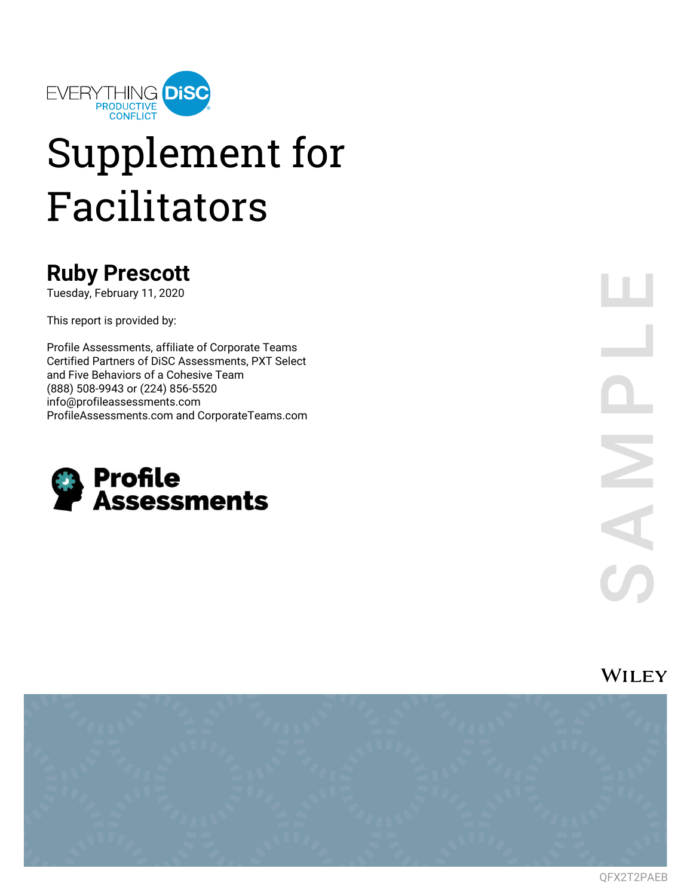

# Supplement for Facilitators

### **Ruby Prescott**

Tuesday, February 11, 2020

This report is provided by:

Profile Assessments, affiliate of Corporate Teams Certified Partners of DiSC Assessments, PXT Select and Five Behaviors of a Cohesive Team (888) 508-9943 or (224) 856-5520 info@profileassessments.com ProfileAssessments.com and CorporateTeams.com



**WILEY** 

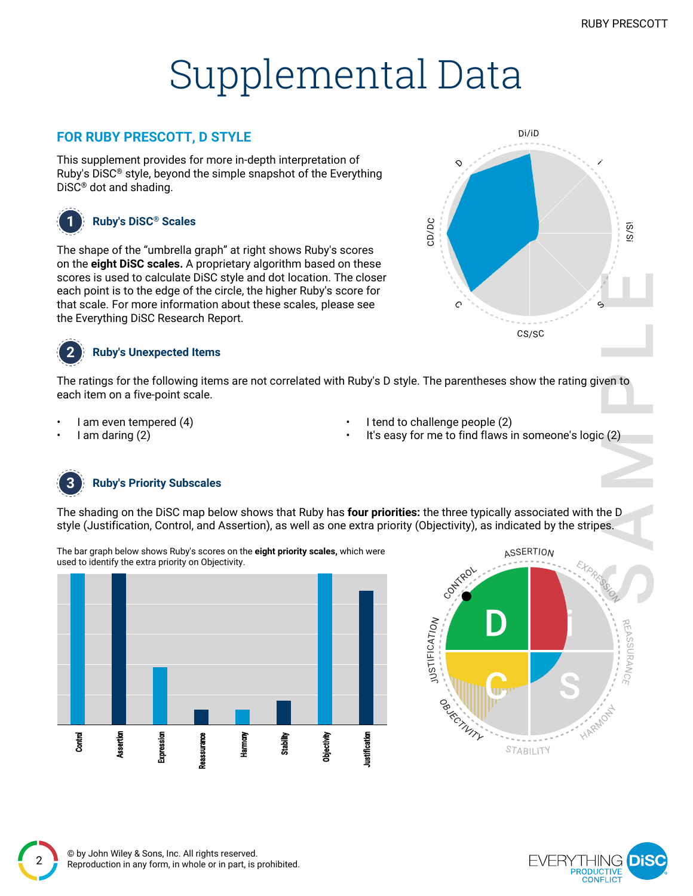## Supplemental Data

### **FOR RUBY PRESCOTT, D STYLE**

This supplement provides for more in-depth interpretation of Ruby's DiSC® style, beyond the simple snapshot of the Everything DiSC® dot and shading.



#### **1 Ruby's DiSC® Scales**

The shape of the "umbrella graph" at right shows Ruby's scores on the **eight DiSC scales.** A proprietary algorithm based on these scores is used to calculate DiSC style and dot location. The closer each point is to the edge of the circle, the higher Ruby's score for that scale. For more information about these scales, please see the Everything DiSC Research Report.



#### **2 Ruby's Unexpected Items**

The ratings for the following items are not correlated with Ruby's D style. The parentheses show the rating given to each item on a five-point scale.

- I am even tempered (4)
- I am daring (2)
- I tend to challenge people (2)
- It's easy for me to find flaws in someone's logic (2)



2

#### **3 Ruby's Priority Subscales**

The shading on the DiSC map below shows that Ruby has **four priorities:** the three typically associated with the D style (Justification, Control, and Assertion), as well as one extra priority (Objectivity), as indicated by the stripes.

The bar graph below shows Ruby's scores on the **eight priority scales,** which were used to identify the extra priority on Objectivity.